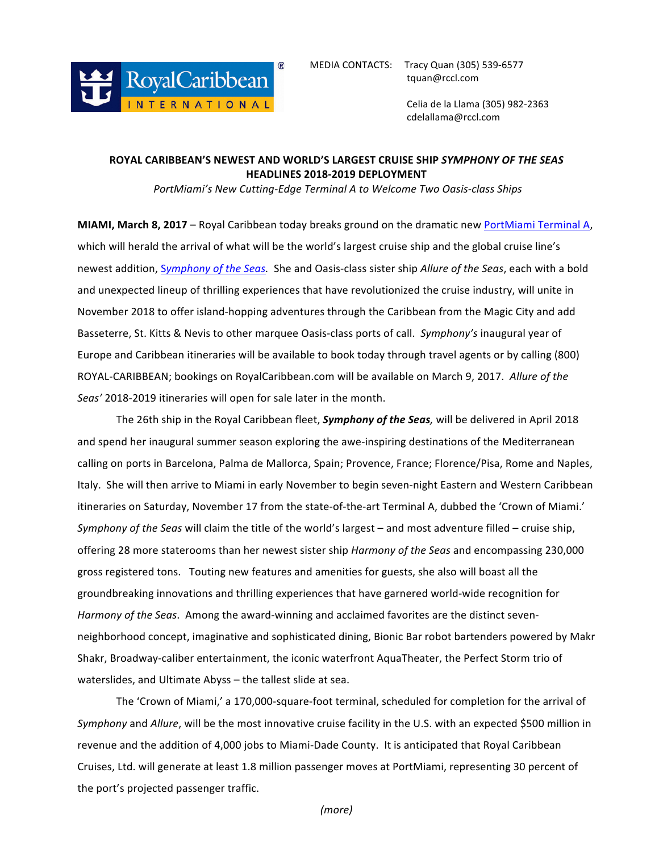

 Celia de la Llama (305) 982-2363 cdelallama@rccl.com

## **ROYAL CARIBBEAN'S NEWEST AND WORLD'S LARGEST CRUISE SHIP** *SYMPHONY OF THE SEAS* **HEADLINES 2018-2019 DEPLOYMENT**

PortMiami's New Cutting-Edge Terminal A to Welcome Two Oasis-class Ships

**MIAMI, March 8, 2017** – Royal Caribbean today breaks ground on the dramatic new PortMiami Terminal A, which will herald the arrival of what will be the world's largest cruise ship and the global cruise line's newest addition, *Symphony of the Seas*. She and Oasis-class sister ship *Allure of the Seas*, each with a bold and unexpected lineup of thrilling experiences that have revolutionized the cruise industry, will unite in November 2018 to offer island-hopping adventures through the Caribbean from the Magic City and add Basseterre, St. Kitts & Nevis to other marquee Oasis-class ports of call. *Symphony's* inaugural year of Europe and Caribbean itineraries will be available to book today through travel agents or by calling (800) ROYAL-CARIBBEAN; bookings on RoyalCaribbean.com will be available on March 9, 2017. Allure of the Seas' 2018-2019 itineraries will open for sale later in the month.

The 26th ship in the Royal Caribbean fleet, **Symphony of the Seas**, will be delivered in April 2018 and spend her inaugural summer season exploring the awe-inspiring destinations of the Mediterranean calling on ports in Barcelona, Palma de Mallorca, Spain; Provence, France; Florence/Pisa, Rome and Naples, Italy. She will then arrive to Miami in early November to begin seven-night Eastern and Western Caribbean itineraries on Saturday, November 17 from the state-of-the-art Terminal A, dubbed the 'Crown of Miami.' *Symphony of the Seas* will claim the title of the world's largest – and most adventure filled – cruise ship, offering 28 more staterooms than her newest sister ship *Harmony of the Seas* and encompassing 230,000 gross registered tons. Touting new features and amenities for guests, she also will boast all the groundbreaking innovations and thrilling experiences that have garnered world-wide recognition for Harmony of the Seas. Among the award-winning and acclaimed favorites are the distinct sevenneighborhood concept, imaginative and sophisticated dining, Bionic Bar robot bartenders powered by Makr Shakr, Broadway-caliber entertainment, the iconic waterfront AquaTheater, the Perfect Storm trio of waterslides, and Ultimate Abyss – the tallest slide at sea.

The 'Crown of Miami,' a 170,000-square-foot terminal, scheduled for completion for the arrival of *Symphony* and *Allure*, will be the most innovative cruise facility in the U.S. with an expected \$500 million in revenue and the addition of 4,000 jobs to Miami-Dade County. It is anticipated that Royal Caribbean Cruises, Ltd. will generate at least 1.8 million passenger moves at PortMiami, representing 30 percent of the port's projected passenger traffic.

*(more)*